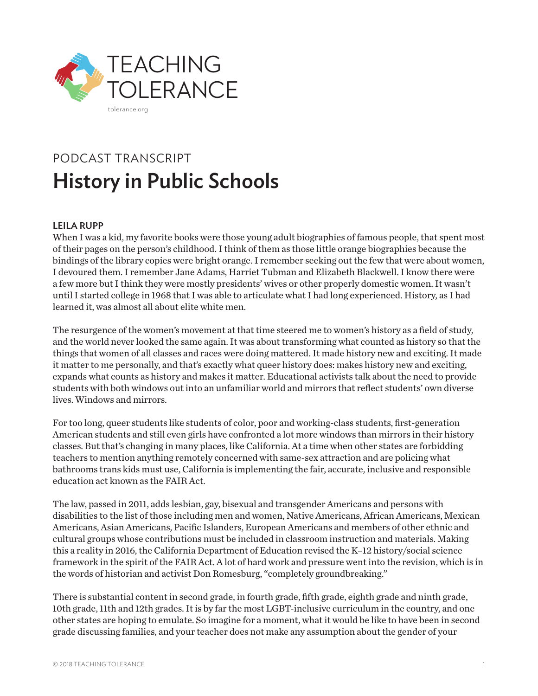

# PODCAST TRANSCRIPT History in Public Schools

## LEILA RUPP

When I was a kid, my favorite books were those young adult biographies of famous people, that spent most of their pages on the person's childhood. I think of them as those little orange biographies because the bindings of the library copies were bright orange. I remember seeking out the few that were about women, I devoured them. I remember Jane Adams, Harriet Tubman and Elizabeth Blackwell. I know there were a few more but I think they were mostly presidents' wives or other properly domestic women. It wasn't until I started college in 1968 that I was able to articulate what I had long experienced. History, as I had learned it, was almost all about elite white men.

The resurgence of the women's movement at that time steered me to women's history as a field of study, and the world never looked the same again. It was about transforming what counted as history so that the things that women of all classes and races were doing mattered. It made history new and exciting. It made it matter to me personally, and that's exactly what queer history does: makes history new and exciting, expands what counts as history and makes it matter. Educational activists talk about the need to provide students with both windows out into an unfamiliar world and mirrors that reflect students' own diverse lives. Windows and mirrors.

For too long, queer students like students of color, poor and working-class students, first-generation American students and still even girls have confronted a lot more windows than mirrors in their history classes. But that's changing in many places, like California. At a time when other states are forbidding teachers to mention anything remotely concerned with same-sex attraction and are policing what bathrooms trans kids must use, California is implementing the fair, accurate, inclusive and responsible education act known as the FAIR Act.

The law, passed in 2011, adds lesbian, gay, bisexual and transgender Americans and persons with disabilities to the list of those including men and women, Native Americans, African Americans, Mexican Americans, Asian Americans, Pacific Islanders, European Americans and members of other ethnic and cultural groups whose contributions must be included in classroom instruction and materials. Making this a reality in 2016, the California Department of Education revised the K–12 history/social science framework in the spirit of the FAIR Act. A lot of hard work and pressure went into the revision, which is in the words of historian and activist Don Romesburg, "completely groundbreaking."

There is substantial content in second grade, in fourth grade, fifth grade, eighth grade and ninth grade, 10th grade, 11th and 12th grades. It is by far the most LGBT-inclusive curriculum in the country, and one other states are hoping to emulate. So imagine for a moment, what it would be like to have been in second grade discussing families, and your teacher does not make any assumption about the gender of your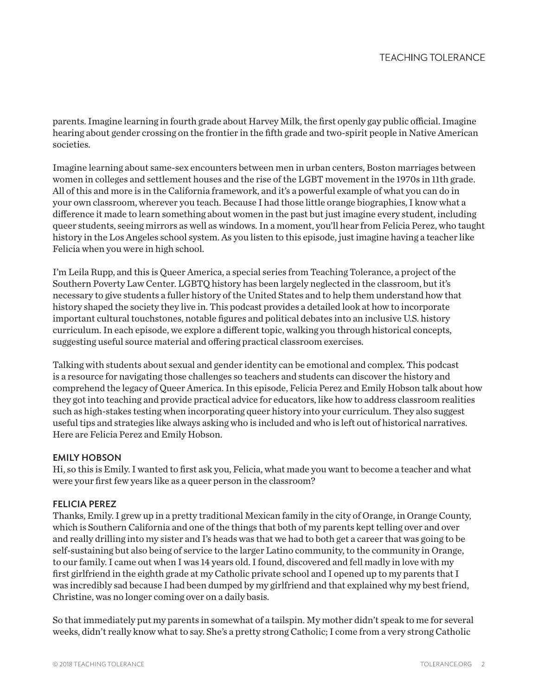parents. Imagine learning in fourth grade about Harvey Milk, the first openly gay public official. Imagine hearing about gender crossing on the frontier in the fifth grade and two-spirit people in Native American societies.

Imagine learning about same-sex encounters between men in urban centers, Boston marriages between women in colleges and settlement houses and the rise of the LGBT movement in the 1970s in 11th grade. All of this and more is in the California framework, and it's a powerful example of what you can do in your own classroom, wherever you teach. Because I had those little orange biographies, I know what a difference it made to learn something about women in the past but just imagine every student, including queer students, seeing mirrors as well as windows. In a moment, you'll hear from Felicia Perez, who taught history in the Los Angeles school system. As you listen to this episode, just imagine having a teacher like Felicia when you were in high school.

I'm Leila Rupp, and this is Queer America, a special series from Teaching Tolerance, a project of the Southern Poverty Law Center. LGBTQ history has been largely neglected in the classroom, but it's necessary to give students a fuller history of the United States and to help them understand how that history shaped the society they live in. This podcast provides a detailed look at how to incorporate important cultural touchstones, notable figures and political debates into an inclusive U.S. history curriculum. In each episode, we explore a different topic, walking you through historical concepts, suggesting useful source material and offering practical classroom exercises.

Talking with students about sexual and gender identity can be emotional and complex. This podcast is a resource for navigating those challenges so teachers and students can discover the history and comprehend the legacy of Queer America. In this episode, Felicia Perez and Emily Hobson talk about how they got into teaching and provide practical advice for educators, like how to address classroom realities such as high-stakes testing when incorporating queer history into your curriculum. They also suggest useful tips and strategies like always asking who is included and who is left out of historical narratives. Here are Felicia Perez and Emily Hobson.

## EMILY HOBSON

Hi, so this is Emily. I wanted to first ask you, Felicia, what made you want to become a teacher and what were your first few years like as a queer person in the classroom?

## FELICIA PEREZ

Thanks, Emily. I grew up in a pretty traditional Mexican family in the city of Orange, in Orange County, which is Southern California and one of the things that both of my parents kept telling over and over and really drilling into my sister and I's heads was that we had to both get a career that was going to be self-sustaining but also being of service to the larger Latino community, to the community in Orange, to our family. I came out when I was 14 years old. I found, discovered and fell madly in love with my first girlfriend in the eighth grade at my Catholic private school and I opened up to my parents that I was incredibly sad because I had been dumped by my girlfriend and that explained why my best friend, Christine, was no longer coming over on a daily basis.

So that immediately put my parents in somewhat of a tailspin. My mother didn't speak to me for several weeks, didn't really know what to say. She's a pretty strong Catholic; I come from a very strong Catholic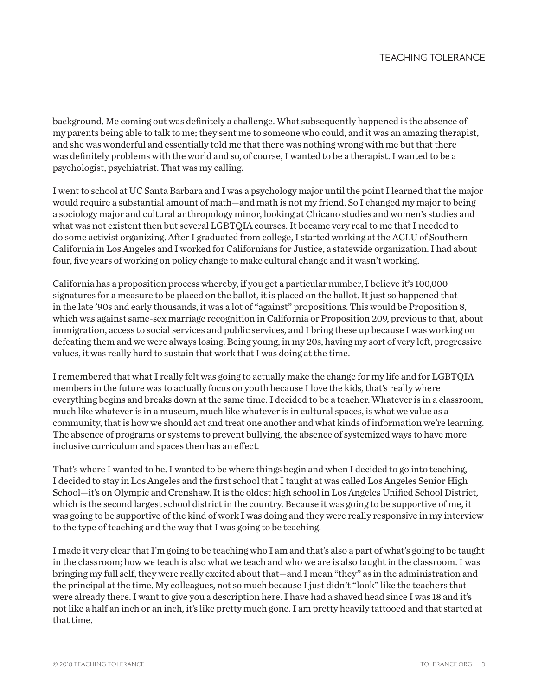background. Me coming out was definitely a challenge. What subsequently happened is the absence of my parents being able to talk to me; they sent me to someone who could, and it was an amazing therapist, and she was wonderful and essentially told me that there was nothing wrong with me but that there was definitely problems with the world and so, of course, I wanted to be a therapist. I wanted to be a psychologist, psychiatrist. That was my calling.

I went to school at UC Santa Barbara and I was a psychology major until the point I learned that the major would require a substantial amount of math—and math is not my friend. So I changed my major to being a sociology major and cultural anthropology minor, looking at Chicano studies and women's studies and what was not existent then but several LGBTQIA courses. It became very real to me that I needed to do some activist organizing. After I graduated from college, I started working at the ACLU of Southern California in Los Angeles and I worked for Californians for Justice, a statewide organization. I had about four, five years of working on policy change to make cultural change and it wasn't working.

California has a proposition process whereby, if you get a particular number, I believe it's 100,000 signatures for a measure to be placed on the ballot, it is placed on the ballot. It just so happened that in the late '90s and early thousands, it was a lot of "against" propositions. This would be Proposition 8, which was against same-sex marriage recognition in California or Proposition 209, previous to that, about immigration, access to social services and public services, and I bring these up because I was working on defeating them and we were always losing. Being young, in my 20s, having my sort of very left, progressive values, it was really hard to sustain that work that I was doing at the time.

I remembered that what I really felt was going to actually make the change for my life and for LGBTQIA members in the future was to actually focus on youth because I love the kids, that's really where everything begins and breaks down at the same time. I decided to be a teacher. Whatever is in a classroom, much like whatever is in a museum, much like whatever is in cultural spaces, is what we value as a community, that is how we should act and treat one another and what kinds of information we're learning. The absence of programs or systems to prevent bullying, the absence of systemized ways to have more inclusive curriculum and spaces then has an effect.

That's where I wanted to be. I wanted to be where things begin and when I decided to go into teaching, I decided to stay in Los Angeles and the first school that I taught at was called Los Angeles Senior High School—it's on Olympic and Crenshaw. It is the oldest high school in Los Angeles Unified School District, which is the second largest school district in the country. Because it was going to be supportive of me, it was going to be supportive of the kind of work I was doing and they were really responsive in my interview to the type of teaching and the way that I was going to be teaching.

I made it very clear that I'm going to be teaching who I am and that's also a part of what's going to be taught in the classroom; how we teach is also what we teach and who we are is also taught in the classroom. I was bringing my full self, they were really excited about that—and I mean "they" as in the administration and the principal at the time. My colleagues, not so much because I just didn't "look" like the teachers that were already there. I want to give you a description here. I have had a shaved head since I was 18 and it's not like a half an inch or an inch, it's like pretty much gone. I am pretty heavily tattooed and that started at that time.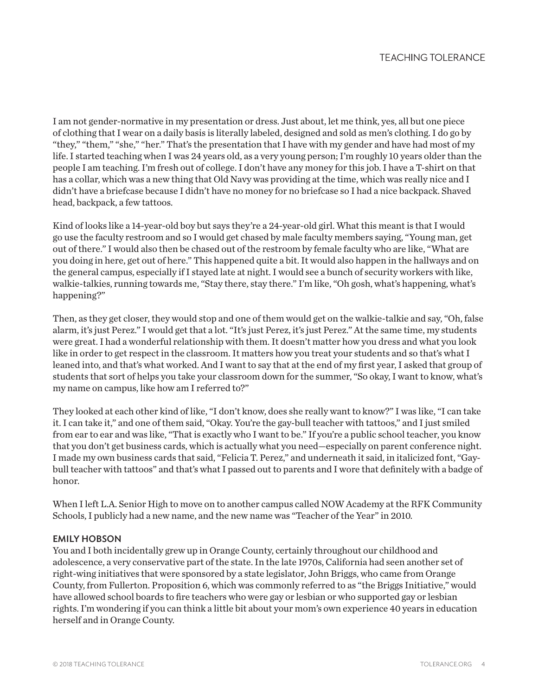I am not gender-normative in my presentation or dress. Just about, let me think, yes, all but one piece of clothing that I wear on a daily basis is literally labeled, designed and sold as men's clothing. I do go by "they," "them," "she," "her." That's the presentation that I have with my gender and have had most of my life. I started teaching when I was 24 years old, as a very young person; I'm roughly 10 years older than the people I am teaching. I'm fresh out of college. I don't have any money for this job. I have a T-shirt on that has a collar, which was a new thing that Old Navy was providing at the time, which was really nice and I didn't have a briefcase because I didn't have no money for no briefcase so I had a nice backpack. Shaved head, backpack, a few tattoos.

Kind of looks like a 14-year-old boy but says they're a 24-year-old girl. What this meant is that I would go use the faculty restroom and so I would get chased by male faculty members saying, "Young man, get out of there." I would also then be chased out of the restroom by female faculty who are like, "What are you doing in here, get out of here." This happened quite a bit. It would also happen in the hallways and on the general campus, especially if I stayed late at night. I would see a bunch of security workers with like, walkie-talkies, running towards me, "Stay there, stay there." I'm like, "Oh gosh, what's happening, what's happening?"

Then, as they get closer, they would stop and one of them would get on the walkie-talkie and say, "Oh, false alarm, it's just Perez." I would get that a lot. "It's just Perez, it's just Perez." At the same time, my students were great. I had a wonderful relationship with them. It doesn't matter how you dress and what you look like in order to get respect in the classroom. It matters how you treat your students and so that's what I leaned into, and that's what worked. And I want to say that at the end of my first year, I asked that group of students that sort of helps you take your classroom down for the summer, "So okay, I want to know, what's my name on campus, like how am I referred to?"

They looked at each other kind of like, "I don't know, does she really want to know?" I was like, "I can take it. I can take it," and one of them said, "Okay. You're the gay-bull teacher with tattoos," and I just smiled from ear to ear and was like, "That is exactly who I want to be." If you're a public school teacher, you know that you don't get business cards, which is actually what you need—especially on parent conference night. I made my own business cards that said, "Felicia T. Perez," and underneath it said, in italicized font, "Gaybull teacher with tattoos" and that's what I passed out to parents and I wore that definitely with a badge of honor.

When I left L.A. Senior High to move on to another campus called NOW Academy at the RFK Community Schools, I publicly had a new name, and the new name was "Teacher of the Year" in 2010.

## EMILY HOBSON

You and I both incidentally grew up in Orange County, certainly throughout our childhood and adolescence, a very conservative part of the state. In the late 1970s, California had seen another set of right-wing initiatives that were sponsored by a state legislator, John Briggs, who came from Orange County, from Fullerton. Proposition 6, which was commonly referred to as "the Briggs Initiative," would have allowed school boards to fire teachers who were gay or lesbian or who supported gay or lesbian rights. I'm wondering if you can think a little bit about your mom's own experience 40 years in education herself and in Orange County.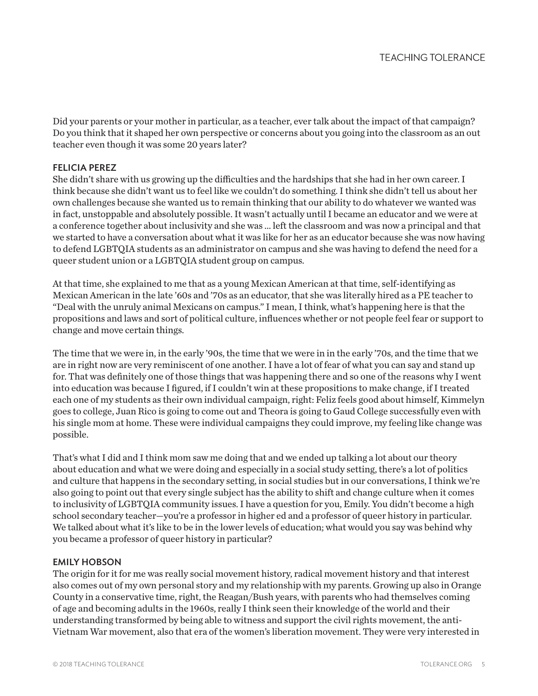Did your parents or your mother in particular, as a teacher, ever talk about the impact of that campaign? Do you think that it shaped her own perspective or concerns about you going into the classroom as an out teacher even though it was some 20 years later?

## FELICIA PEREZ

She didn't share with us growing up the difficulties and the hardships that she had in her own career. I think because she didn't want us to feel like we couldn't do something. I think she didn't tell us about her own challenges because she wanted us to remain thinking that our ability to do whatever we wanted was in fact, unstoppable and absolutely possible. It wasn't actually until I became an educator and we were at a conference together about inclusivity and she was ... left the classroom and was now a principal and that we started to have a conversation about what it was like for her as an educator because she was now having to defend LGBTQIA students as an administrator on campus and she was having to defend the need for a queer student union or a LGBTQIA student group on campus.

At that time, she explained to me that as a young Mexican American at that time, self-identifying as Mexican American in the late '60s and '70s as an educator, that she was literally hired as a PE teacher to "Deal with the unruly animal Mexicans on campus." I mean, I think, what's happening here is that the propositions and laws and sort of political culture, influences whether or not people feel fear or support to change and move certain things.

The time that we were in, in the early '90s, the time that we were in in the early '70s, and the time that we are in right now are very reminiscent of one another. I have a lot of fear of what you can say and stand up for. That was definitely one of those things that was happening there and so one of the reasons why I went into education was because I figured, if I couldn't win at these propositions to make change, if I treated each one of my students as their own individual campaign, right: Feliz feels good about himself, Kimmelyn goes to college, Juan Rico is going to come out and Theora is going to Gaud College successfully even with his single mom at home. These were individual campaigns they could improve, my feeling like change was possible.

That's what I did and I think mom saw me doing that and we ended up talking a lot about our theory about education and what we were doing and especially in a social study setting, there's a lot of politics and culture that happens in the secondary setting, in social studies but in our conversations, I think we're also going to point out that every single subject has the ability to shift and change culture when it comes to inclusivity of LGBTQIA community issues. I have a question for you, Emily. You didn't become a high school secondary teacher—you're a professor in higher ed and a professor of queer history in particular. We talked about what it's like to be in the lower levels of education; what would you say was behind why you became a professor of queer history in particular?

## EMILY HOBSON

The origin for it for me was really social movement history, radical movement history and that interest also comes out of my own personal story and my relationship with my parents. Growing up also in Orange County in a conservative time, right, the Reagan/Bush years, with parents who had themselves coming of age and becoming adults in the 1960s, really I think seen their knowledge of the world and their understanding transformed by being able to witness and support the civil rights movement, the anti-Vietnam War movement, also that era of the women's liberation movement. They were very interested in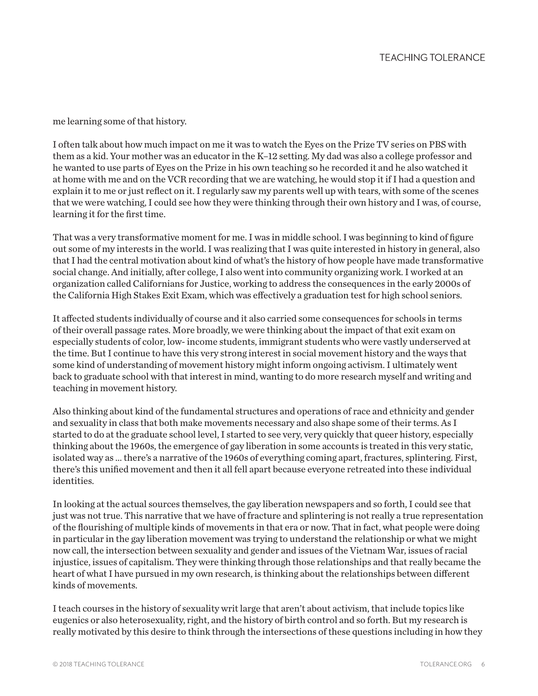me learning some of that history.

I often talk about how much impact on me it was to watch the Eyes on the Prize TV series on PBS with them as a kid. Your mother was an educator in the K–12 setting. My dad was also a college professor and he wanted to use parts of Eyes on the Prize in his own teaching so he recorded it and he also watched it at home with me and on the VCR recording that we are watching, he would stop it if I had a question and explain it to me or just reflect on it. I regularly saw my parents well up with tears, with some of the scenes that we were watching, I could see how they were thinking through their own history and I was, of course, learning it for the first time.

That was a very transformative moment for me. I was in middle school. I was beginning to kind of figure out some of my interests in the world. I was realizing that I was quite interested in history in general, also that I had the central motivation about kind of what's the history of how people have made transformative social change. And initially, after college, I also went into community organizing work. I worked at an organization called Californians for Justice, working to address the consequences in the early 2000s of the California High Stakes Exit Exam, which was effectively a graduation test for high school seniors.

It affected students individually of course and it also carried some consequences for schools in terms of their overall passage rates. More broadly, we were thinking about the impact of that exit exam on especially students of color, low- income students, immigrant students who were vastly underserved at the time. But I continue to have this very strong interest in social movement history and the ways that some kind of understanding of movement history might inform ongoing activism. I ultimately went back to graduate school with that interest in mind, wanting to do more research myself and writing and teaching in movement history.

Also thinking about kind of the fundamental structures and operations of race and ethnicity and gender and sexuality in class that both make movements necessary and also shape some of their terms. As I started to do at the graduate school level, I started to see very, very quickly that queer history, especially thinking about the 1960s, the emergence of gay liberation in some accounts is treated in this very static, isolated way as ... there's a narrative of the 1960s of everything coming apart, fractures, splintering. First, there's this unified movement and then it all fell apart because everyone retreated into these individual identities.

In looking at the actual sources themselves, the gay liberation newspapers and so forth, I could see that just was not true. This narrative that we have of fracture and splintering is not really a true representation of the flourishing of multiple kinds of movements in that era or now. That in fact, what people were doing in particular in the gay liberation movement was trying to understand the relationship or what we might now call, the intersection between sexuality and gender and issues of the Vietnam War, issues of racial injustice, issues of capitalism. They were thinking through those relationships and that really became the heart of what I have pursued in my own research, is thinking about the relationships between different kinds of movements.

I teach courses in the history of sexuality writ large that aren't about activism, that include topics like eugenics or also heterosexuality, right, and the history of birth control and so forth. But my research is really motivated by this desire to think through the intersections of these questions including in how they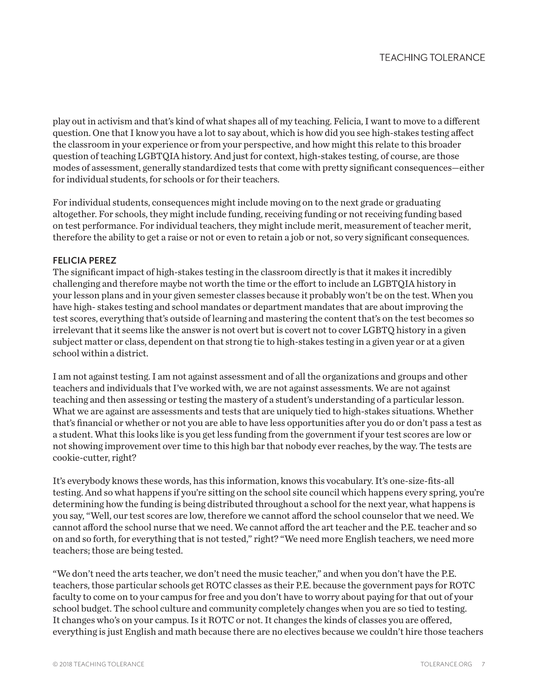play out in activism and that's kind of what shapes all of my teaching. Felicia, I want to move to a different question. One that I know you have a lot to say about, which is how did you see high-stakes testing affect the classroom in your experience or from your perspective, and how might this relate to this broader question of teaching LGBTQIA history. And just for context, high-stakes testing, of course, are those modes of assessment, generally standardized tests that come with pretty significant consequences—either for individual students, for schools or for their teachers.

For individual students, consequences might include moving on to the next grade or graduating altogether. For schools, they might include funding, receiving funding or not receiving funding based on test performance. For individual teachers, they might include merit, measurement of teacher merit, therefore the ability to get a raise or not or even to retain a job or not, so very significant consequences.

## FELICIA PEREZ

The significant impact of high-stakes testing in the classroom directly is that it makes it incredibly challenging and therefore maybe not worth the time or the effort to include an LGBTQIA history in your lesson plans and in your given semester classes because it probably won't be on the test. When you have high- stakes testing and school mandates or department mandates that are about improving the test scores, everything that's outside of learning and mastering the content that's on the test becomes so irrelevant that it seems like the answer is not overt but is covert not to cover LGBTQ history in a given subject matter or class, dependent on that strong tie to high-stakes testing in a given year or at a given school within a district.

I am not against testing. I am not against assessment and of all the organizations and groups and other teachers and individuals that I've worked with, we are not against assessments. We are not against teaching and then assessing or testing the mastery of a student's understanding of a particular lesson. What we are against are assessments and tests that are uniquely tied to high-stakes situations. Whether that's financial or whether or not you are able to have less opportunities after you do or don't pass a test as a student. What this looks like is you get less funding from the government if your test scores are low or not showing improvement over time to this high bar that nobody ever reaches, by the way. The tests are cookie-cutter, right?

It's everybody knows these words, has this information, knows this vocabulary. It's one-size-fits-all testing. And so what happens if you're sitting on the school site council which happens every spring, you're determining how the funding is being distributed throughout a school for the next year, what happens is you say, "Well, our test scores are low, therefore we cannot afford the school counselor that we need. We cannot afford the school nurse that we need. We cannot afford the art teacher and the P.E. teacher and so on and so forth, for everything that is not tested," right? "We need more English teachers, we need more teachers; those are being tested.

"We don't need the arts teacher, we don't need the music teacher," and when you don't have the P.E. teachers, those particular schools get ROTC classes as their P.E. because the government pays for ROTC faculty to come on to your campus for free and you don't have to worry about paying for that out of your school budget. The school culture and community completely changes when you are so tied to testing. It changes who's on your campus. Is it ROTC or not. It changes the kinds of classes you are offered, everything is just English and math because there are no electives because we couldn't hire those teachers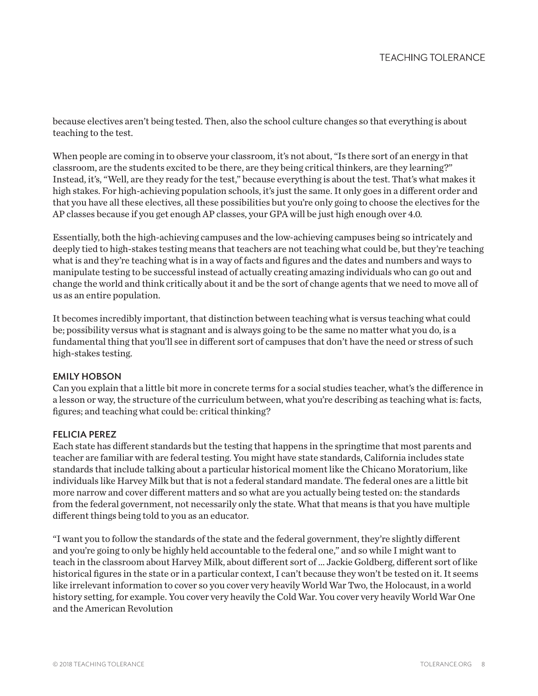because electives aren't being tested. Then, also the school culture changes so that everything is about teaching to the test.

When people are coming in to observe your classroom, it's not about, "Is there sort of an energy in that classroom, are the students excited to be there, are they being critical thinkers, are they learning?" Instead, it's, "Well, are they ready for the test," because everything is about the test. That's what makes it high stakes. For high-achieving population schools, it's just the same. It only goes in a different order and that you have all these electives, all these possibilities but you're only going to choose the electives for the AP classes because if you get enough AP classes, your GPA will be just high enough over 4.0.

Essentially, both the high-achieving campuses and the low-achieving campuses being so intricately and deeply tied to high-stakes testing means that teachers are not teaching what could be, but they're teaching what is and they're teaching what is in a way of facts and figures and the dates and numbers and ways to manipulate testing to be successful instead of actually creating amazing individuals who can go out and change the world and think critically about it and be the sort of change agents that we need to move all of us as an entire population.

It becomes incredibly important, that distinction between teaching what is versus teaching what could be; possibility versus what is stagnant and is always going to be the same no matter what you do, is a fundamental thing that you'll see in different sort of campuses that don't have the need or stress of such high-stakes testing.

## EMILY HOBSON

Can you explain that a little bit more in concrete terms for a social studies teacher, what's the difference in a lesson or way, the structure of the curriculum between, what you're describing as teaching what is: facts, figures; and teaching what could be: critical thinking?

## FELICIA PEREZ

Each state has different standards but the testing that happens in the springtime that most parents and teacher are familiar with are federal testing. You might have state standards, California includes state standards that include talking about a particular historical moment like the Chicano Moratorium, like individuals like Harvey Milk but that is not a federal standard mandate. The federal ones are a little bit more narrow and cover different matters and so what are you actually being tested on: the standards from the federal government, not necessarily only the state. What that means is that you have multiple different things being told to you as an educator.

"I want you to follow the standards of the state and the federal government, they're slightly different and you're going to only be highly held accountable to the federal one," and so while I might want to teach in the classroom about Harvey Milk, about different sort of ... Jackie Goldberg, different sort of like historical figures in the state or in a particular context, I can't because they won't be tested on it. It seems like irrelevant information to cover so you cover very heavily World War Two, the Holocaust, in a world history setting, for example. You cover very heavily the Cold War. You cover very heavily World War One and the American Revolution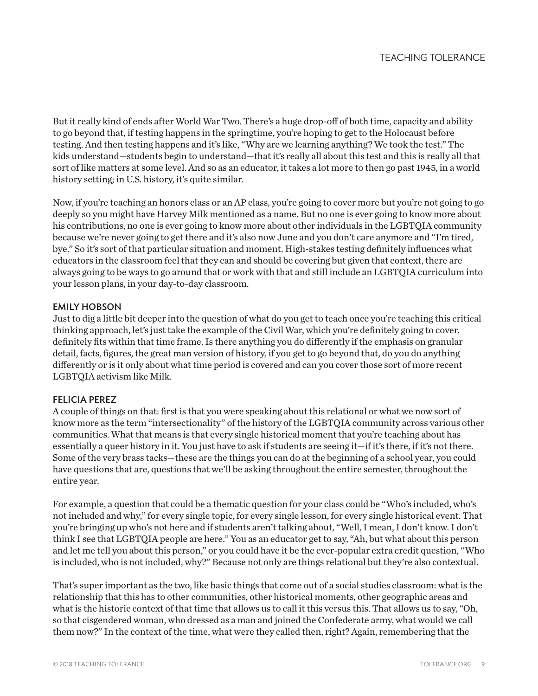But it really kind of ends after World War Two. There's a huge drop-off of both time, capacity and ability to go beyond that, if testing happens in the springtime, you're hoping to get to the Holocaust before testing. And then testing happens and it's like, "Why are we learning anything? We took the test." The kids understand—students begin to understand—that it's really all about this test and this is really all that sort of like matters at some level. And so as an educator, it takes a lot more to then go past 1945, in a world history setting; in U.S. history, it's quite similar.

Now, if you're teaching an honors class or an AP class, you're going to cover more but you're not going to go deeply so you might have Harvey Milk mentioned as a name. But no one is ever going to know more about his contributions, no one is ever going to know more about other individuals in the LGBTQIA community because we're never going to get there and it's also now June and you don't care anymore and "I'm tired, bye." So it's sort of that particular situation and moment. High-stakes testing definitely influences what educators in the classroom feel that they can and should be covering but given that context, there are always going to be ways to go around that or work with that and still include an LGBTQIA curriculum into your lesson plans, in your day-to-day classroom.

## EMILY HOBSON

Just to dig a little bit deeper into the question of what do you get to teach once you're teaching this critical thinking approach, let's just take the example of the Civil War, which you're definitely going to cover, definitely fits within that time frame. Is there anything you do differently if the emphasis on granular detail, facts, figures, the great man version of history, if you get to go beyond that, do you do anything differently or is it only about what time period is covered and can you cover those sort of more recent LGBTQIA activism like Milk.

## FELICIA PEREZ

A couple of things on that: first is that you were speaking about this relational or what we now sort of know more as the term "intersectionality" of the history of the LGBTQIA community across various other communities. What that means is that every single historical moment that you're teaching about has essentially a queer history in it. You just have to ask if students are seeing it—if it's there, if it's not there. Some of the very brass tacks—these are the things you can do at the beginning of a school year, you could have questions that are, questions that we'll be asking throughout the entire semester, throughout the entire year.

For example, a question that could be a thematic question for your class could be "Who's included, who's not included and why," for every single topic, for every single lesson, for every single historical event. That you're bringing up who's not here and if students aren't talking about, "Well, I mean, I don't know. I don't think I see that LGBTQIA people are here." You as an educator get to say, "Ah, but what about this person and let me tell you about this person," or you could have it be the ever-popular extra credit question, "Who is included, who is not included, why?" Because not only are things relational but they're also contextual.

That's super important as the two, like basic things that come out of a social studies classroom: what is the relationship that this has to other communities, other historical moments, other geographic areas and what is the historic context of that time that allows us to call it this versus this. That allows us to say, "Oh, so that cisgendered woman, who dressed as a man and joined the Confederate army, what would we call them now?" In the context of the time, what were they called then, right? Again, remembering that the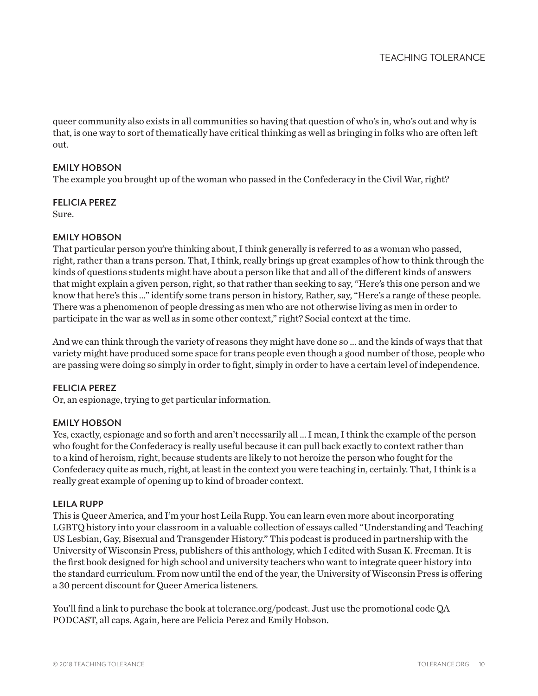queer community also exists in all communities so having that question of who's in, who's out and why is that, is one way to sort of thematically have critical thinking as well as bringing in folks who are often left out.

## EMILY HOBSON

The example you brought up of the woman who passed in the Confederacy in the Civil War, right?

## FELICIA PEREZ

Sure.

## EMILY HOBSON

That particular person you're thinking about, I think generally is referred to as a woman who passed, right, rather than a trans person. That, I think, really brings up great examples of how to think through the kinds of questions students might have about a person like that and all of the different kinds of answers that might explain a given person, right, so that rather than seeking to say, "Here's this one person and we know that here's this ..." identify some trans person in history, Rather, say, "Here's a range of these people. There was a phenomenon of people dressing as men who are not otherwise living as men in order to participate in the war as well as in some other context," right? Social context at the time.

And we can think through the variety of reasons they might have done so ... and the kinds of ways that that variety might have produced some space for trans people even though a good number of those, people who are passing were doing so simply in order to fight, simply in order to have a certain level of independence.

## FELICIA PEREZ

Or, an espionage, trying to get particular information.

## EMILY HOBSON

Yes, exactly, espionage and so forth and aren't necessarily all ... I mean, I think the example of the person who fought for the Confederacy is really useful because it can pull back exactly to context rather than to a kind of heroism, right, because students are likely to not heroize the person who fought for the Confederacy quite as much, right, at least in the context you were teaching in, certainly. That, I think is a really great example of opening up to kind of broader context.

## LEILA RUPP

This is Queer America, and I'm your host Leila Rupp. You can learn even more about incorporating LGBTQ history into your classroom in a valuable collection of essays called "Understanding and Teaching US Lesbian, Gay, Bisexual and Transgender History." This podcast is produced in partnership with the University of Wisconsin Press, publishers of this anthology, which I edited with Susan K. Freeman. It is the first book designed for high school and university teachers who want to integrate queer history into the standard curriculum. From now until the end of the year, the University of Wisconsin Press is offering a 30 percent discount for Queer America listeners.

You'll find a link to purchase the book at tolerance.org/podcast. Just use the promotional code QA PODCAST, all caps. Again, here are Felicia Perez and Emily Hobson.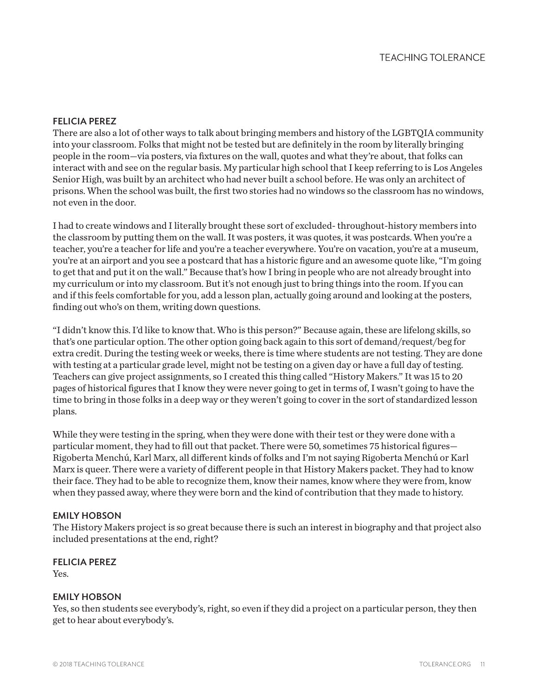## FELICIA PEREZ

There are also a lot of other ways to talk about bringing members and history of the LGBTQIA community into your classroom. Folks that might not be tested but are definitely in the room by literally bringing people in the room—via posters, via fixtures on the wall, quotes and what they're about, that folks can interact with and see on the regular basis. My particular high school that I keep referring to is Los Angeles Senior High, was built by an architect who had never built a school before. He was only an architect of prisons. When the school was built, the first two stories had no windows so the classroom has no windows, not even in the door.

I had to create windows and I literally brought these sort of excluded- throughout-history members into the classroom by putting them on the wall. It was posters, it was quotes, it was postcards. When you're a teacher, you're a teacher for life and you're a teacher everywhere. You're on vacation, you're at a museum, you're at an airport and you see a postcard that has a historic figure and an awesome quote like, "I'm going to get that and put it on the wall." Because that's how I bring in people who are not already brought into my curriculum or into my classroom. But it's not enough just to bring things into the room. If you can and if this feels comfortable for you, add a lesson plan, actually going around and looking at the posters, finding out who's on them, writing down questions.

"I didn't know this. I'd like to know that. Who is this person?" Because again, these are lifelong skills, so that's one particular option. The other option going back again to this sort of demand/request/beg for extra credit. During the testing week or weeks, there is time where students are not testing. They are done with testing at a particular grade level, might not be testing on a given day or have a full day of testing. Teachers can give project assignments, so I created this thing called "History Makers." It was 15 to 20 pages of historical figures that I know they were never going to get in terms of, I wasn't going to have the time to bring in those folks in a deep way or they weren't going to cover in the sort of standardized lesson plans.

While they were testing in the spring, when they were done with their test or they were done with a particular moment, they had to fill out that packet. There were 50, sometimes 75 historical figures— Rigoberta Menchú, Karl Marx, all different kinds of folks and I'm not saying Rigoberta Menchú or Karl Marx is queer. There were a variety of different people in that History Makers packet. They had to know their face. They had to be able to recognize them, know their names, know where they were from, know when they passed away, where they were born and the kind of contribution that they made to history.

## EMILY HOBSON

The History Makers project is so great because there is such an interest in biography and that project also included presentations at the end, right?

#### FELICIA PEREZ

Yes.

## EMILY HOBSON

Yes, so then students see everybody's, right, so even if they did a project on a particular person, they then get to hear about everybody's.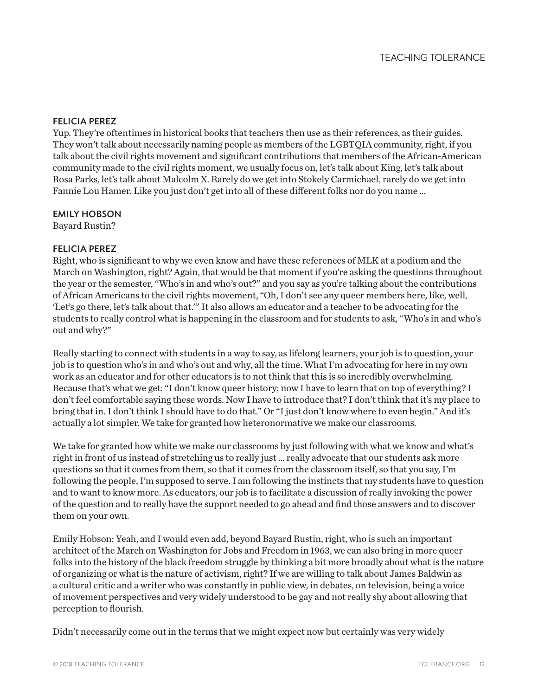## FELICIA PEREZ

Yup. They're oftentimes in historical books that teachers then use as their references, as their guides. They won't talk about necessarily naming people as members of the LGBTQIA community, right, if you talk about the civil rights movement and significant contributions that members of the African-American community made to the civil rights moment, we usually focus on, let's talk about King, let's talk about Rosa Parks, let's talk about Malcolm X. Rarely do we get into Stokely Carmichael, rarely do we get into Fannie Lou Hamer. Like you just don't get into all of these different folks nor do you name ...

## EMILY HOBSON

Bayard Rustin?

## FELICIA PEREZ

Right, who is significant to why we even know and have these references of MLK at a podium and the March on Washington, right? Again, that would be that moment if you're asking the questions throughout the year or the semester, "Who's in and who's out?" and you say as you're talking about the contributions of African Americans to the civil rights movement, "Oh, I don't see any queer members here, like, well, 'Let's go there, let's talk about that.'" It also allows an educator and a teacher to be advocating for the students to really control what is happening in the classroom and for students to ask, "Who's in and who's out and why?"

Really starting to connect with students in a way to say, as lifelong learners, your job is to question, your job is to question who's in and who's out and why, all the time. What I'm advocating for here in my own work as an educator and for other educators is to not think that this is so incredibly overwhelming. Because that's what we get: "I don't know queer history; now I have to learn that on top of everything? I don't feel comfortable saying these words. Now I have to introduce that? I don't think that it's my place to bring that in. I don't think I should have to do that." Or "I just don't know where to even begin." And it's actually a lot simpler. We take for granted how heteronormative we make our classrooms.

We take for granted how white we make our classrooms by just following with what we know and what's right in front of us instead of stretching us to really just ... really advocate that our students ask more questions so that it comes from them, so that it comes from the classroom itself, so that you say, I'm following the people, I'm supposed to serve. I am following the instincts that my students have to question and to want to know more. As educators, our job is to facilitate a discussion of really invoking the power of the question and to really have the support needed to go ahead and find those answers and to discover them on your own.

Emily Hobson: Yeah, and I would even add, beyond Bayard Rustin, right, who is such an important architect of the March on Washington for Jobs and Freedom in 1963, we can also bring in more queer folks into the history of the black freedom struggle by thinking a bit more broadly about what is the nature of organizing or what is the nature of activism, right? If we are willing to talk about James Baldwin as a cultural critic and a writer who was constantly in public view, in debates, on television, being a voice of movement perspectives and very widely understood to be gay and not really shy about allowing that perception to flourish.

Didn't necessarily come out in the terms that we might expect now but certainly was very widely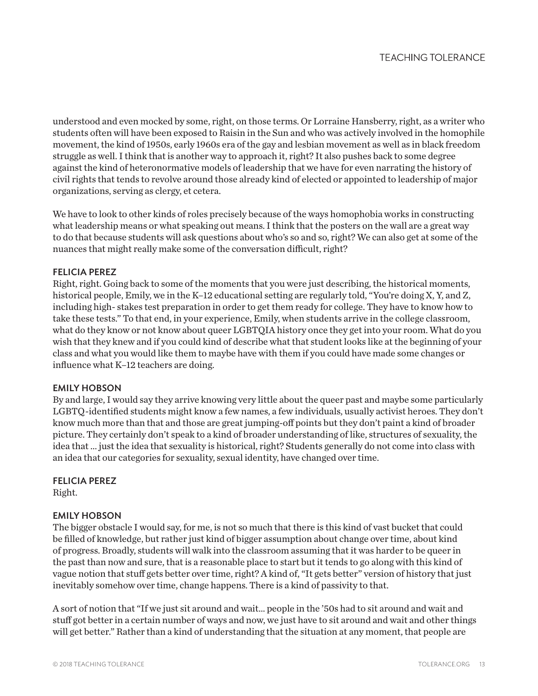understood and even mocked by some, right, on those terms. Or Lorraine Hansberry, right, as a writer who students often will have been exposed to Raisin in the Sun and who was actively involved in the homophile movement, the kind of 1950s, early 1960s era of the gay and lesbian movement as well as in black freedom struggle as well. I think that is another way to approach it, right? It also pushes back to some degree against the kind of heteronormative models of leadership that we have for even narrating the history of civil rights that tends to revolve around those already kind of elected or appointed to leadership of major organizations, serving as clergy, et cetera.

We have to look to other kinds of roles precisely because of the ways homophobia works in constructing what leadership means or what speaking out means. I think that the posters on the wall are a great way to do that because students will ask questions about who's so and so, right? We can also get at some of the nuances that might really make some of the conversation difficult, right?

## FELICIA PEREZ

Right, right. Going back to some of the moments that you were just describing, the historical moments, historical people, Emily, we in the K–12 educational setting are regularly told, "You're doing X, Y, and Z, including high- stakes test preparation in order to get them ready for college. They have to know how to take these tests." To that end, in your experience, Emily, when students arrive in the college classroom, what do they know or not know about queer LGBTQIA history once they get into your room. What do you wish that they knew and if you could kind of describe what that student looks like at the beginning of your class and what you would like them to maybe have with them if you could have made some changes or influence what K–12 teachers are doing.

## EMILY HOBSON

By and large, I would say they arrive knowing very little about the queer past and maybe some particularly LGBTQ-identified students might know a few names, a few individuals, usually activist heroes. They don't know much more than that and those are great jumping-off points but they don't paint a kind of broader picture. They certainly don't speak to a kind of broader understanding of like, structures of sexuality, the idea that ... just the idea that sexuality is historical, right? Students generally do not come into class with an idea that our categories for sexuality, sexual identity, have changed over time.

## FELICIA PEREZ

Right.

## EMILY HOBSON

The bigger obstacle I would say, for me, is not so much that there is this kind of vast bucket that could be filled of knowledge, but rather just kind of bigger assumption about change over time, about kind of progress. Broadly, students will walk into the classroom assuming that it was harder to be queer in the past than now and sure, that is a reasonable place to start but it tends to go along with this kind of vague notion that stuff gets better over time, right? A kind of, "It gets better" version of history that just inevitably somehow over time, change happens. There is a kind of passivity to that.

A sort of notion that "If we just sit around and wait… people in the '50s had to sit around and wait and stuff got better in a certain number of ways and now, we just have to sit around and wait and other things will get better." Rather than a kind of understanding that the situation at any moment, that people are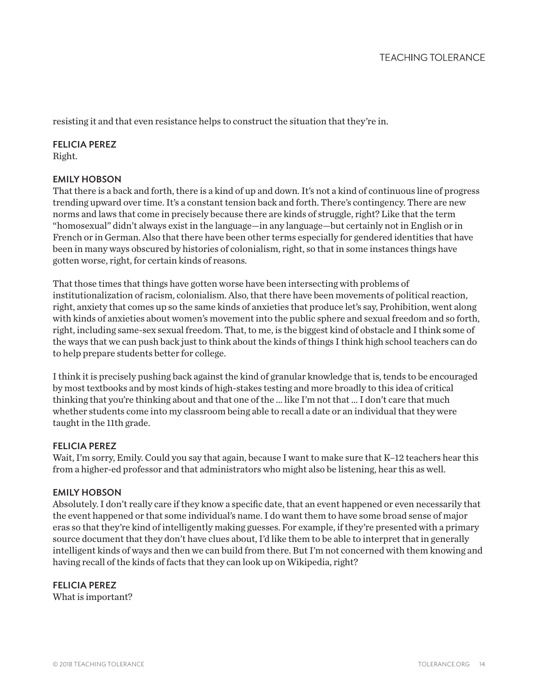resisting it and that even resistance helps to construct the situation that they're in.

## FELICIA PEREZ

Right.

## EMILY HOBSON

That there is a back and forth, there is a kind of up and down. It's not a kind of continuous line of progress trending upward over time. It's a constant tension back and forth. There's contingency. There are new norms and laws that come in precisely because there are kinds of struggle, right? Like that the term "homosexual" didn't always exist in the language—in any language—but certainly not in English or in French or in German. Also that there have been other terms especially for gendered identities that have been in many ways obscured by histories of colonialism, right, so that in some instances things have gotten worse, right, for certain kinds of reasons.

That those times that things have gotten worse have been intersecting with problems of institutionalization of racism, colonialism. Also, that there have been movements of political reaction, right, anxiety that comes up so the same kinds of anxieties that produce let's say, Prohibition, went along with kinds of anxieties about women's movement into the public sphere and sexual freedom and so forth, right, including same-sex sexual freedom. That, to me, is the biggest kind of obstacle and I think some of the ways that we can push back just to think about the kinds of things I think high school teachers can do to help prepare students better for college.

I think it is precisely pushing back against the kind of granular knowledge that is, tends to be encouraged by most textbooks and by most kinds of high-stakes testing and more broadly to this idea of critical thinking that you're thinking about and that one of the ... like I'm not that ... I don't care that much whether students come into my classroom being able to recall a date or an individual that they were taught in the 11th grade.

## FELICIA PEREZ

Wait, I'm sorry, Emily. Could you say that again, because I want to make sure that K-12 teachers hear this from a higher-ed professor and that administrators who might also be listening, hear this as well.

## EMILY HOBSON

Absolutely. I don't really care if they know a specific date, that an event happened or even necessarily that the event happened or that some individual's name. I do want them to have some broad sense of major eras so that they're kind of intelligently making guesses. For example, if they're presented with a primary source document that they don't have clues about, I'd like them to be able to interpret that in generally intelligent kinds of ways and then we can build from there. But I'm not concerned with them knowing and having recall of the kinds of facts that they can look up on Wikipedia, right?

## FELICIA PEREZ

What is important?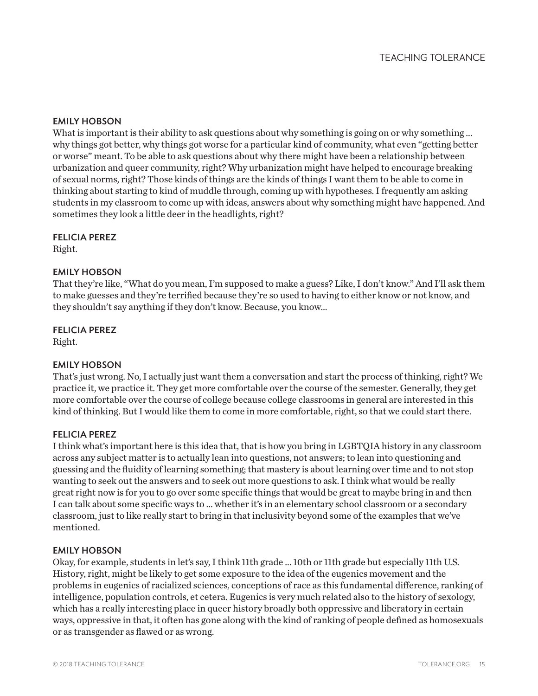## EMILY HOBSON

What is important is their ability to ask questions about why something is going on or why something ... why things got better, why things got worse for a particular kind of community, what even "getting better or worse" meant. To be able to ask questions about why there might have been a relationship between urbanization and queer community, right? Why urbanization might have helped to encourage breaking of sexual norms, right? Those kinds of things are the kinds of things I want them to be able to come in thinking about starting to kind of muddle through, coming up with hypotheses. I frequently am asking students in my classroom to come up with ideas, answers about why something might have happened. And sometimes they look a little deer in the headlights, right?

## FELICIA PEREZ

Right.

## EMILY HOBSON

That they're like, "What do you mean, I'm supposed to make a guess? Like, I don't know." And I'll ask them to make guesses and they're terrified because they're so used to having to either know or not know, and they shouldn't say anything if they don't know. Because, you know…

## FELICIA PEREZ

Right.

## EMILY HOBSON

That's just wrong. No, I actually just want them a conversation and start the process of thinking, right? We practice it, we practice it. They get more comfortable over the course of the semester. Generally, they get more comfortable over the course of college because college classrooms in general are interested in this kind of thinking. But I would like them to come in more comfortable, right, so that we could start there.

## FELICIA PEREZ

I think what's important here is this idea that, that is how you bring in LGBTQIA history in any classroom across any subject matter is to actually lean into questions, not answers; to lean into questioning and guessing and the fluidity of learning something; that mastery is about learning over time and to not stop wanting to seek out the answers and to seek out more questions to ask. I think what would be really great right now is for you to go over some specific things that would be great to maybe bring in and then I can talk about some specific ways to ... whether it's in an elementary school classroom or a secondary classroom, just to like really start to bring in that inclusivity beyond some of the examples that we've mentioned.

## EMILY HOBSON

Okay, for example, students in let's say, I think 11th grade ... 10th or 11th grade but especially 11th U.S. History, right, might be likely to get some exposure to the idea of the eugenics movement and the problems in eugenics of racialized sciences, conceptions of race as this fundamental difference, ranking of intelligence, population controls, et cetera. Eugenics is very much related also to the history of sexology, which has a really interesting place in queer history broadly both oppressive and liberatory in certain ways, oppressive in that, it often has gone along with the kind of ranking of people defined as homosexuals or as transgender as flawed or as wrong.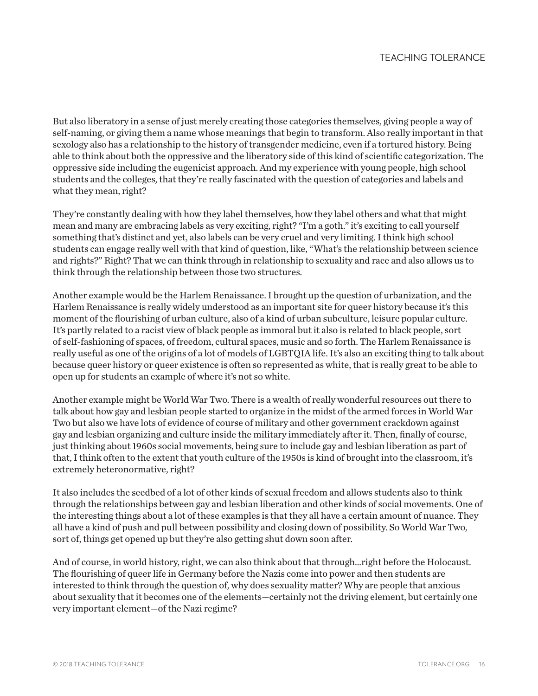But also liberatory in a sense of just merely creating those categories themselves, giving people a way of self-naming, or giving them a name whose meanings that begin to transform. Also really important in that sexology also has a relationship to the history of transgender medicine, even if a tortured history. Being able to think about both the oppressive and the liberatory side of this kind of scientific categorization. The oppressive side including the eugenicist approach. And my experience with young people, high school students and the colleges, that they're really fascinated with the question of categories and labels and what they mean, right?

They're constantly dealing with how they label themselves, how they label others and what that might mean and many are embracing labels as very exciting, right? "I'm a goth." it's exciting to call yourself something that's distinct and yet, also labels can be very cruel and very limiting. I think high school students can engage really well with that kind of question, like, "What's the relationship between science and rights?" Right? That we can think through in relationship to sexuality and race and also allows us to think through the relationship between those two structures.

Another example would be the Harlem Renaissance. I brought up the question of urbanization, and the Harlem Renaissance is really widely understood as an important site for queer history because it's this moment of the flourishing of urban culture, also of a kind of urban subculture, leisure popular culture. It's partly related to a racist view of black people as immoral but it also is related to black people, sort of self-fashioning of spaces, of freedom, cultural spaces, music and so forth. The Harlem Renaissance is really useful as one of the origins of a lot of models of LGBTQIA life. It's also an exciting thing to talk about because queer history or queer existence is often so represented as white, that is really great to be able to open up for students an example of where it's not so white.

Another example might be World War Two. There is a wealth of really wonderful resources out there to talk about how gay and lesbian people started to organize in the midst of the armed forces in World War Two but also we have lots of evidence of course of military and other government crackdown against gay and lesbian organizing and culture inside the military immediately after it. Then, finally of course, just thinking about 1960s social movements, being sure to include gay and lesbian liberation as part of that, I think often to the extent that youth culture of the 1950s is kind of brought into the classroom, it's extremely heteronormative, right?

It also includes the seedbed of a lot of other kinds of sexual freedom and allows students also to think through the relationships between gay and lesbian liberation and other kinds of social movements. One of the interesting things about a lot of these examples is that they all have a certain amount of nuance. They all have a kind of push and pull between possibility and closing down of possibility. So World War Two, sort of, things get opened up but they're also getting shut down soon after.

And of course, in world history, right, we can also think about that through…right before the Holocaust. The flourishing of queer life in Germany before the Nazis come into power and then students are interested to think through the question of, why does sexuality matter? Why are people that anxious about sexuality that it becomes one of the elements—certainly not the driving element, but certainly one very important element—of the Nazi regime?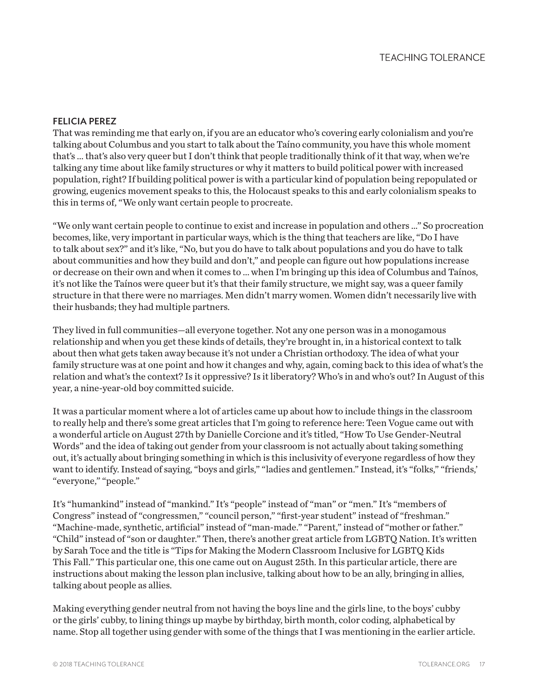#### FELICIA PEREZ

That was reminding me that early on, if you are an educator who's covering early colonialism and you're talking about Columbus and you start to talk about the Taíno community, you have this whole moment that's ... that's also very queer but I don't think that people traditionally think of it that way, when we're talking any time about like family structures or why it matters to build political power with increased population, right? If building political power is with a particular kind of population being repopulated or growing, eugenics movement speaks to this, the Holocaust speaks to this and early colonialism speaks to this in terms of, "We only want certain people to procreate.

"We only want certain people to continue to exist and increase in population and others …" So procreation becomes, like, very important in particular ways, which is the thing that teachers are like, "Do I have to talk about sex?" and it's like, "No, but you do have to talk about populations and you do have to talk about communities and how they build and don't," and people can figure out how populations increase or decrease on their own and when it comes to ... when I'm bringing up this idea of Columbus and Taínos, it's not like the Taínos were queer but it's that their family structure, we might say, was a queer family structure in that there were no marriages. Men didn't marry women. Women didn't necessarily live with their husbands; they had multiple partners.

They lived in full communities—all everyone together. Not any one person was in a monogamous relationship and when you get these kinds of details, they're brought in, in a historical context to talk about then what gets taken away because it's not under a Christian orthodoxy. The idea of what your family structure was at one point and how it changes and why, again, coming back to this idea of what's the relation and what's the context? Is it oppressive? Is it liberatory? Who's in and who's out? In August of this year, a nine-year-old boy committed suicide.

It was a particular moment where a lot of articles came up about how to include things in the classroom to really help and there's some great articles that I'm going to reference here: Teen Vogue came out with a wonderful article on August 27th by Danielle Corcione and it's titled, "How To Use Gender-Neutral Words" and the idea of taking out gender from your classroom is not actually about taking something out, it's actually about bringing something in which is this inclusivity of everyone regardless of how they want to identify. Instead of saying, "boys and girls," "ladies and gentlemen." Instead, it's "folks," "friends, "everyone," "people."

It's "humankind" instead of "mankind." It's "people" instead of "man" or "men." It's "members of Congress" instead of "congressmen," "council person," "first-year student" instead of "freshman." "Machine-made, synthetic, artificial" instead of "man-made." "Parent," instead of "mother or father." "Child" instead of "son or daughter." Then, there's another great article from LGBTQ Nation. It's written by Sarah Toce and the title is "Tips for Making the Modern Classroom Inclusive for LGBTQ Kids This Fall." This particular one, this one came out on August 25th. In this particular article, there are instructions about making the lesson plan inclusive, talking about how to be an ally, bringing in allies, talking about people as allies.

Making everything gender neutral from not having the boys line and the girls line, to the boys' cubby or the girls' cubby, to lining things up maybe by birthday, birth month, color coding, alphabetical by name. Stop all together using gender with some of the things that I was mentioning in the earlier article.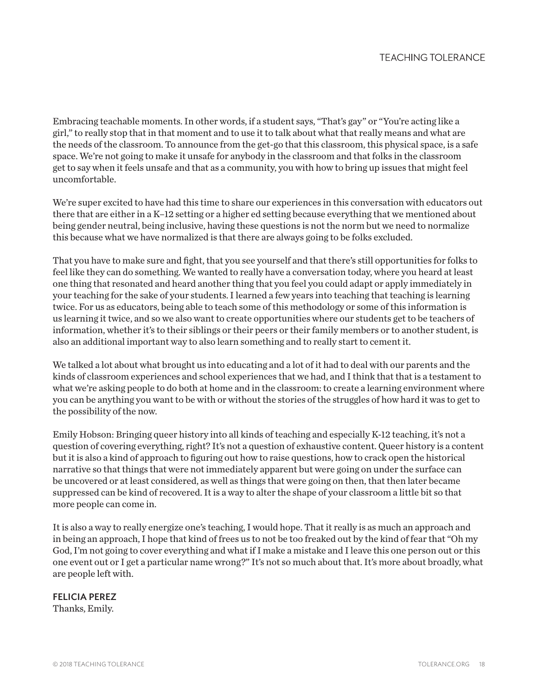Embracing teachable moments. In other words, if a student says, "That's gay" or "You're acting like a girl," to really stop that in that moment and to use it to talk about what that really means and what are the needs of the classroom. To announce from the get-go that this classroom, this physical space, is a safe space. We're not going to make it unsafe for anybody in the classroom and that folks in the classroom get to say when it feels unsafe and that as a community, you with how to bring up issues that might feel uncomfortable.

We're super excited to have had this time to share our experiences in this conversation with educators out there that are either in a K–12 setting or a higher ed setting because everything that we mentioned about being gender neutral, being inclusive, having these questions is not the norm but we need to normalize this because what we have normalized is that there are always going to be folks excluded.

That you have to make sure and fight, that you see yourself and that there's still opportunities for folks to feel like they can do something. We wanted to really have a conversation today, where you heard at least one thing that resonated and heard another thing that you feel you could adapt or apply immediately in your teaching for the sake of your students. I learned a few years into teaching that teaching is learning twice. For us as educators, being able to teach some of this methodology or some of this information is us learning it twice, and so we also want to create opportunities where our students get to be teachers of information, whether it's to their siblings or their peers or their family members or to another student, is also an additional important way to also learn something and to really start to cement it.

We talked a lot about what brought us into educating and a lot of it had to deal with our parents and the kinds of classroom experiences and school experiences that we had, and I think that that is a testament to what we're asking people to do both at home and in the classroom: to create a learning environment where you can be anything you want to be with or without the stories of the struggles of how hard it was to get to the possibility of the now.

Emily Hobson: Bringing queer history into all kinds of teaching and especially K-12 teaching, it's not a question of covering everything, right? It's not a question of exhaustive content. Queer history is a content but it is also a kind of approach to figuring out how to raise questions, how to crack open the historical narrative so that things that were not immediately apparent but were going on under the surface can be uncovered or at least considered, as well as things that were going on then, that then later became suppressed can be kind of recovered. It is a way to alter the shape of your classroom a little bit so that more people can come in.

It is also a way to really energize one's teaching, I would hope. That it really is as much an approach and in being an approach, I hope that kind of frees us to not be too freaked out by the kind of fear that "Oh my God, I'm not going to cover everything and what if I make a mistake and I leave this one person out or this one event out or I get a particular name wrong?" It's not so much about that. It's more about broadly, what are people left with.

## FELICIA PEREZ

Thanks, Emily.